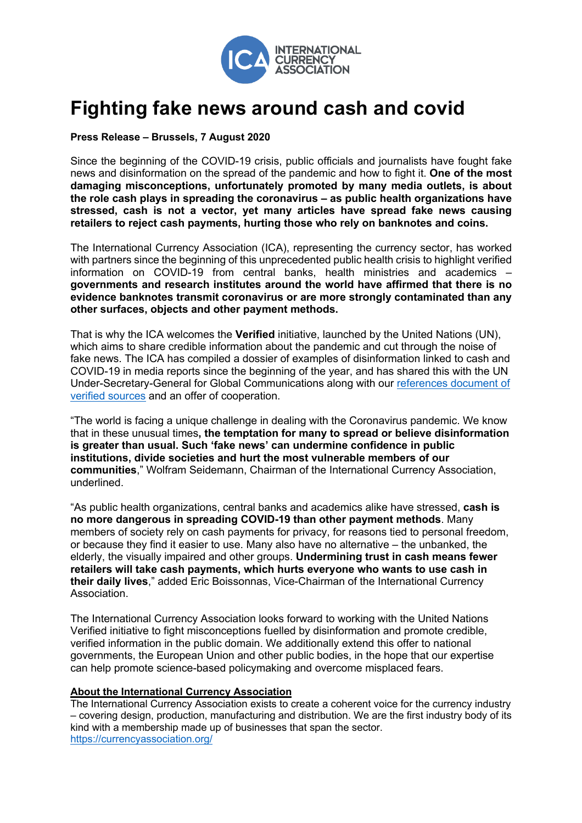

## **Fighting fake news around cash and covid**

**Press Release – Brussels, 7 August 2020**

Since the beginning of the COVID-19 crisis, public officials and journalists have fought fake news and disinformation on the spread of the pandemic and how to fight it. **One of the most damaging misconceptions, unfortunately promoted by many media outlets, is about the role cash plays in spreading the coronavirus – as public health organizations have stressed, cash is not a vector, yet many articles have spread fake news causing retailers to reject cash payments, hurting those who rely on banknotes and coins.**

The International Currency Association (ICA), representing the currency sector, has worked with partners since the beginning of this unprecedented public health crisis to highlight verified information on COVID-19 from central banks, health ministries and academics – **governments and research institutes around the world have affirmed that there is no evidence banknotes transmit coronavirus or are more strongly contaminated than any other surfaces, objects and other payment methods.**

That is why the ICA welcomes the **Verified** initiative, launched by the United Nations (UN), which aims to share credible information about the pandemic and cut through the noise of fake news. The ICA has compiled a dossier of examples of disinformation linked to cash and COVID-19 in media reports since the beginning of the year, and has shared this with the UN Under-Secretary-General for Global Communications along with our references document of verified sources and an offer of cooperation.

"The world is facing a unique challenge in dealing with the Coronavirus pandemic. We know that in these unusual times**, the temptation for many to spread or believe disinformation is greater than usual. Such 'fake news' can undermine confidence in public institutions, divide societies and hurt the most vulnerable members of our communities**," Wolfram Seidemann, Chairman of the International Currency Association, underlined.

"As public health organizations, central banks and academics alike have stressed, **cash is no more dangerous in spreading COVID-19 than other payment methods**. Many members of society rely on cash payments for privacy, for reasons tied to personal freedom, or because they find it easier to use. Many also have no alternative – the unbanked, the elderly, the visually impaired and other groups. **Undermining trust in cash means fewer retailers will take cash payments, which hurts everyone who wants to use cash in their daily lives**," added Eric Boissonnas, Vice-Chairman of the International Currency **Association** 

The International Currency Association looks forward to working with the United Nations Verified initiative to fight misconceptions fuelled by disinformation and promote credible, verified information in the public domain. We additionally extend this offer to national governments, the European Union and other public bodies, in the hope that our expertise can help promote science-based policymaking and overcome misplaced fears.

## **About the International Currency Association**

The International Currency Association exists to create a coherent voice for the currency industry – covering design, production, manufacturing and distribution. We are the first industry body of its kind with a membership made up of businesses that span the sector. https://currencyassociation.org/